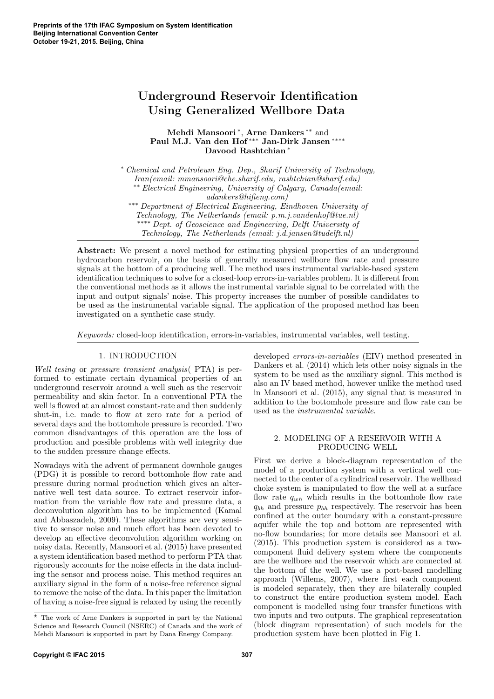# Underground Reservoir Identification Using Generalized Wellbore Data

Mehdi Mansoori<sup>\*</sup>, Arne Dankers<sup>\*\*</sup> and Paul M.J. Van den Hof ∗∗∗ Jan-Dirk Jansen ∗∗∗∗ Davood Rashtchian <sup>∗</sup>

<sup>∗</sup> Chemical and Petroleum Eng. Dep., Sharif University of Technology, Iran(email: mmansoori@che.sharif.edu, rashtchian@sharif.edu) ∗∗ Electrical Engineering, University of Calgary, Canada(email: adankers@hifieng.com) ∗∗∗ Department of Electrical Engineering, Eindhoven University of

Technology, The Netherlands (email: p.m.j.vandenhof@tue.nl) ∗∗∗∗ Dept. of Geoscience and Engineering, Delft University of Technology, The Netherlands (email: j.d.jansen@tudelft.nl)

Abstract: We present a novel method for estimating physical properties of an underground hydrocarbon reservoir, on the basis of generally measured wellbore flow rate and pressure signals at the bottom of a producing well. The method uses instrumental variable-based system identification techniques to solve for a closed-loop errors-in-variables problem. It is different from the conventional methods as it allows the instrumental variable signal to be correlated with the input and output signals' noise. This property increases the number of possible candidates to be used as the instrumental variable signal. The application of the proposed method has been investigated on a synthetic case study.

Keywords: closed-loop identification, errors-in-variables, instrumental variables, well testing.

## 1. INTRODUCTION

Well tesing or pressure transient analysis( PTA) is performed to estimate certain dynamical properties of an underground reservoir around a well such as the reservoir permeability and skin factor. In a conventional PTA the well is flowed at an almost constant-rate and then suddenly shut-in, i.e. made to flow at zero rate for a period of several days and the bottomhole pressure is recorded. Two common disadvantages of this operation are the loss of production and possible problems with well integrity due to the sudden pressure change effects.

Nowadays with the advent of permanent downhole gauges (PDG) it is possible to record bottomhole flow rate and pressure during normal production which gives an alternative well test data source. To extract reservoir information from the variable flow rate and pressure data, a deconvolution algorithm has to be implemented (Kamal and Abbaszadeh, 2009). These algorithms are very sensitive to sensor noise and much effort has been devoted to develop an effective deconvolution algorithm working on noisy data. Recently, Mansoori et al. (2015) have presented a system identification based method to perform PTA that rigorously accounts for the noise effects in the data including the sensor and process noise. This method requires an auxiliary signal in the form of a noise-free reference signal to remove the noise of the data. In this paper the limitation of having a noise-free signal is relaxed by using the recently

developed errors-in-variables (EIV) method presented in Dankers et al. (2014) which lets other noisy signals in the system to be used as the auxiliary signal. This method is also an IV based method, however unlike the method used in Mansoori et al. (2015), any signal that is measured in addition to the bottomhole pressure and flow rate can be used as the instrumental variable.

## 2. MODELING OF A RESERVOIR WITH A PRODUCING WELL

First we derive a block-diagram representation of the model of a production system with a vertical well connected to the center of a cylindrical reservoir. The wellhead choke system is manipulated to flow the well at a surface flow rate  $q_{wh}$  which results in the bottomhole flow rate  $q_{bh}$  and pressure  $p_{bh}$  respectively. The reservoir has been confined at the outer boundary with a constant-pressure aquifer while the top and bottom are represented with no-flow boundaries; for more details see Mansoori et al. (2015). This production system is considered as a twocomponent fluid delivery system where the components are the wellbore and the reservoir which are connected at the bottom of the well. We use a port-based modelling approach (Willems, 2007), where first each component is modeled separately, then they are bilaterally coupled to construct the entire production system model. Each component is modelled using four transfer functions with two inputs and two outputs. The graphical representation (block diagram representation) of such models for the production system have been plotted in Fig 1.

<sup>?</sup> The work of Arne Dankers is supported in part by the National Science and Research Council (NSERC) of Canada and the work of Mehdi Mansoori is supported in part by Dana Energy Company.